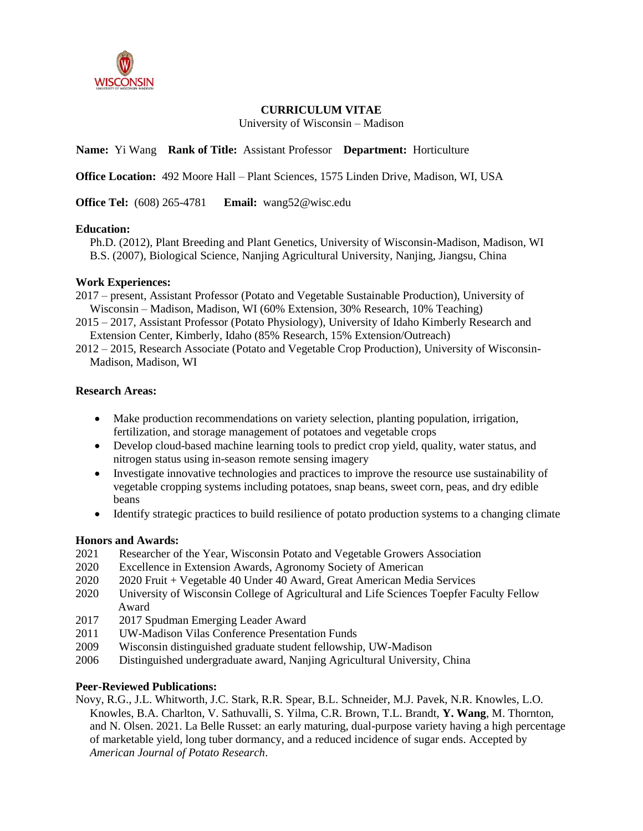

### **CURRICULUM VITAE**

University of Wisconsin – Madison

## **Name:** Yi Wang **Rank of Title:** Assistant Professor **Department:** Horticulture

**Office Location:** 492 Moore Hall – Plant Sciences, 1575 Linden Drive, Madison, WI, USA

**Office Tel:** (608) 265-4781 **Email:** wang52@wisc.edu

#### **Education:**

Ph.D. (2012), Plant Breeding and Plant Genetics, University of Wisconsin-Madison, Madison, WI B.S. (2007), Biological Science, Nanjing Agricultural University, Nanjing, Jiangsu, China

### **Work Experiences:**

2017 – present, Assistant Professor (Potato and Vegetable Sustainable Production), University of Wisconsin – Madison, Madison, WI (60% Extension, 30% Research, 10% Teaching)

- 2015 2017, Assistant Professor (Potato Physiology), University of Idaho Kimberly Research and Extension Center, Kimberly, Idaho (85% Research, 15% Extension/Outreach)
- 2012 2015, Research Associate (Potato and Vegetable Crop Production), University of Wisconsin-Madison, Madison, WI

#### **Research Areas:**

- Make production recommendations on variety selection, planting population, irrigation, fertilization, and storage management of potatoes and vegetable crops
- Develop cloud-based machine learning tools to predict crop yield, quality, water status, and nitrogen status using in-season remote sensing imagery
- Investigate innovative technologies and practices to improve the resource use sustainability of vegetable cropping systems including potatoes, snap beans, sweet corn, peas, and dry edible beans
- Identify strategic practices to build resilience of potato production systems to a changing climate

### **Honors and Awards:**

- 2021 Researcher of the Year, Wisconsin Potato and Vegetable Growers Association
- 2020 Excellence in Extension Awards, Agronomy Society of American
- 2020 2020 Fruit + Vegetable 40 Under 40 Award, Great American Media Services
- 2020 University of Wisconsin College of Agricultural and Life Sciences Toepfer Faculty Fellow Award
- 2017 2017 Spudman Emerging Leader Award
- 2011 UW-Madison Vilas Conference Presentation Funds
- 2009 Wisconsin distinguished graduate student fellowship, UW-Madison
- 2006 Distinguished undergraduate award, Nanjing Agricultural University, China

### **Peer-Reviewed Publications:**

Novy, R.G., J.L. Whitworth, J.C. Stark, R.R. Spear, B.L. Schneider, M.J. Pavek, N.R. Knowles, L.O. Knowles, B.A. Charlton, V. Sathuvalli, S. Yilma, C.R. Brown, T.L. Brandt, **Y. Wang**, M. Thornton, and N. Olsen. 2021. La Belle Russet: an early maturing, dual-purpose variety having a high percentage of marketable yield, long tuber dormancy, and a reduced incidence of sugar ends. Accepted by *American Journal of Potato Research*.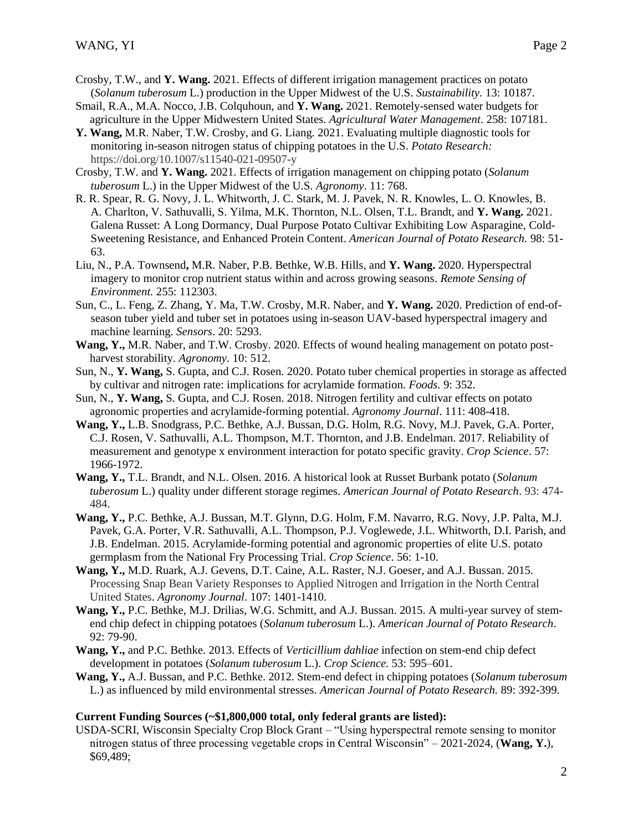- Crosby, T.W., and **Y. Wang.** 2021. Effects of different irrigation management practices on potato (*Solanum tuberosum* L.) production in the Upper Midwest of the U.S. *Sustainability.* 13: 10187.
- Smail, R.A., M.A. Nocco, J.B. Colquhoun, and **Y. Wang.** 2021. Remotely-sensed water budgets for agriculture in the Upper Midwestern United States. *Agricultural Water Management*. 258: 107181.
- **Y. Wang,** M.R. Naber, T.W. Crosby, and G. Liang. 2021. Evaluating multiple diagnostic tools for monitoring in-season nitrogen status of chipping potatoes in the U.S. *Potato Research:* https://doi.org/10.1007/s11540-021-09507-y
- Crosby, T.W. and **Y. Wang.** 2021. Effects of irrigation management on chipping potato (*Solanum tuberosum* L.) in the Upper Midwest of the U.S. *Agronomy*. 11: 768.
- R. R. Spear, R. G. Novy, J. L. Whitworth, J. C. Stark, M. J. Pavek, N. R. Knowles, L. O. Knowles, B. A. Charlton, V. Sathuvalli, S. Yilma, M.K. Thornton, N.L. Olsen, T.L. Brandt, and **Y. Wang.** 2021. Galena Russet: A Long Dormancy, Dual Purpose Potato Cultivar Exhibiting Low Asparagine, Cold-Sweetening Resistance, and Enhanced Protein Content. *American Journal of Potato Research.* 98: 51- 63.
- Liu, N., P.A. Townsend**,** M.R. Naber, P.B. Bethke, W.B. Hills, and **Y. Wang.** 2020. Hyperspectral imagery to monitor crop nutrient status within and across growing seasons. *Remote Sensing of Environment.* 255: 112303.
- Sun, C., L. Feng, Z. Zhang, Y. Ma, T.W. Crosby, M.R. Naber, and **Y. Wang.** 2020. Prediction of end-ofseason tuber yield and tuber set in potatoes using in-season UAV-based hyperspectral imagery and machine learning. *Sensors*. 20: 5293.
- **Wang, Y.,** M.R. Naber, and T.W. Crosby. 2020. Effects of wound healing management on potato postharvest storability. *Agronomy*. 10: 512.
- Sun, N., **Y. Wang,** S. Gupta, and C.J. Rosen. 2020. Potato tuber chemical properties in storage as affected by cultivar and nitrogen rate: implications for acrylamide formation. *Foods.* 9: 352.
- Sun, N., **Y. Wang,** S. Gupta, and C.J. Rosen. 2018. Nitrogen fertility and cultivar effects on potato agronomic properties and acrylamide-forming potential. *Agronomy Journal*. 111: 408-418.
- **Wang, Y.,** L.B. Snodgrass, P.C. Bethke, A.J. Bussan, D.G. Holm, R.G. Novy, M.J. Pavek, G.A. Porter, C.J. Rosen, V. Sathuvalli, A.L. Thompson, M.T. Thornton, and J.B. Endelman. 2017. Reliability of measurement and genotype x environment interaction for potato specific gravity. *Crop Science*. 57: 1966-1972.
- **Wang, Y.,** T.L. Brandt, and N.L. Olsen. 2016. A historical look at Russet Burbank potato (*Solanum tuberosum* L.) quality under different storage regimes. *American Journal of Potato Research*. 93: 474- 484.
- **Wang, Y.,** P.C. Bethke, A.J. Bussan, M.T. Glynn, D.G. Holm, F.M. Navarro, R.G. Novy, J.P. Palta, M.J. Pavek, G.A. Porter, V.R. Sathuvalli, A.L. Thompson, P.J. Voglewede, J.L. Whitworth, D.I. Parish, and J.B. Endelman. 2015. Acrylamide-forming potential and agronomic properties of elite U.S. potato germplasm from the National Fry Processing Trial. *Crop Science*. 56: 1-10.
- **Wang, Y.,** M.D. Ruark, A.J. Gevens, D.T. Caine, A.L. Raster, N.J. Goeser, and A.J. Bussan. 2015. Processing Snap Bean Variety Responses to Applied Nitrogen and Irrigation in the North Central United States. *Agronomy Journal*. 107: 1401-1410.
- **Wang, Y.,** P.C. Bethke, M.J. Drilias, W.G. Schmitt, and A.J. Bussan. 2015. A multi-year survey of stemend chip defect in chipping potatoes (*Solanum tuberosum* L.). *American Journal of Potato Research*. 92: 79-90.
- **Wang, Y.,** and P.C. Bethke. 2013. Effects of *Verticillium dahliae* infection on stem-end chip defect development in potatoes (*Solanum tuberosum* L.). *Crop Science.* 53: 595–601.
- **Wang, Y.,** A.J. Bussan, and P.C. Bethke. 2012. Stem-end defect in chipping potatoes (*Solanum tuberosum*  L.) as influenced by mild environmental stresses. *American Journal of Potato Research.* 89: 392-399.

### **Current Funding Sources (~\$1,800,000 total, only federal grants are listed):**

USDA-SCRI, Wisconsin Specialty Crop Block Grant – "Using hyperspectral remote sensing to monitor nitrogen status of three processing vegetable crops in Central Wisconsin" – 2021-2024, (**Wang, Y.**), \$69,489;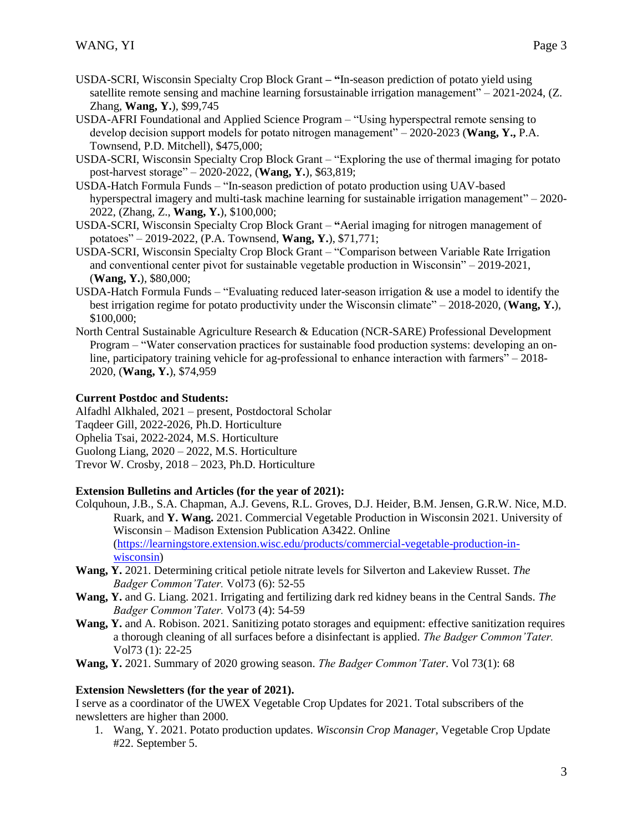- USDA-SCRI, Wisconsin Specialty Crop Block Grant **– "**In-season prediction of potato yield using satellite remote sensing and machine learning forsustainable irrigation management" – 2021-2024, (Z. Zhang, **Wang, Y.**), \$99,745
- USDA-AFRI Foundational and Applied Science Program "Using hyperspectral remote sensing to develop decision support models for potato nitrogen management" – 2020-2023 (**Wang, Y.,** P.A. Townsend, P.D. Mitchell), \$475,000;
- USDA-SCRI, Wisconsin Specialty Crop Block Grant "Exploring the use of thermal imaging for potato post-harvest storage" – 2020-2022, (**Wang, Y.**), \$63,819;
- USDA-Hatch Formula Funds "In-season prediction of potato production using UAV-based hyperspectral imagery and multi-task machine learning for sustainable irrigation management" – 2020-2022, (Zhang, Z., **Wang, Y.**), \$100,000;
- USDA-SCRI, Wisconsin Specialty Crop Block Grant **"**Aerial imaging for nitrogen management of potatoes" – 2019-2022, (P.A. Townsend, **Wang, Y.**), \$71,771;
- USDA-SCRI, Wisconsin Specialty Crop Block Grant "Comparison between Variable Rate Irrigation and conventional center pivot for sustainable vegetable production in Wisconsin" – 2019-2021, (**Wang, Y.**), \$80,000;
- USDA-Hatch Formula Funds "Evaluating reduced later-season irrigation & use a model to identify the best irrigation regime for potato productivity under the Wisconsin climate" – 2018-2020, (**Wang, Y.**), \$100,000;
- North Central Sustainable Agriculture Research & Education (NCR-SARE) Professional Development Program – "Water conservation practices for sustainable food production systems: developing an online, participatory training vehicle for ag-professional to enhance interaction with farmers" – 2018-2020, (**Wang, Y.**), \$74,959

# **Current Postdoc and Students:**

Alfadhl Alkhaled, 2021 – present, Postdoctoral Scholar Taqdeer Gill, 2022-2026, Ph.D. Horticulture Ophelia Tsai, 2022-2024, M.S. Horticulture Guolong Liang, 2020 – 2022, M.S. Horticulture Trevor W. Crosby, 2018 – 2023, Ph.D. Horticulture

# **Extension Bulletins and Articles (for the year of 2021):**

- Colquhoun, J.B., S.A. Chapman, A.J. Gevens, R.L. Groves, D.J. Heider, B.M. Jensen, G.R.W. Nice, M.D. Ruark, and **Y. Wang.** 2021. Commercial Vegetable Production in Wisconsin 2021. University of Wisconsin – Madison Extension Publication A3422. Online [\(https://learningstore.extension.wisc.edu/products/commercial-vegetable-production-in](https://learningstore.extension.wisc.edu/products/commercial-vegetable-production-in-wisconsin)[wisconsin\)](https://learningstore.extension.wisc.edu/products/commercial-vegetable-production-in-wisconsin)
- **Wang, Y.** 2021. Determining critical petiole nitrate levels for Silverton and Lakeview Russet. *The Badger Common'Tater.* Vol73 (6): 52-55
- **Wang, Y.** and G. Liang. 2021. Irrigating and fertilizing dark red kidney beans in the Central Sands. *The Badger Common'Tater.* Vol73 (4): 54-59
- **Wang, Y.** and A. Robison. 2021. Sanitizing potato storages and equipment: effective sanitization requires a thorough cleaning of all surfaces before a disinfectant is applied. *The Badger Common'Tater.* Vol73 (1): 22-25
- **Wang, Y.** 2021. Summary of 2020 growing season. *The Badger Common'Tater.* Vol 73(1): 68

# **Extension Newsletters (for the year of 2021).**

I serve as a coordinator of the UWEX Vegetable Crop Updates for 2021. Total subscribers of the newsletters are higher than 2000.

1. Wang, Y. 2021. Potato production updates. *Wisconsin Crop Manager,* Vegetable Crop Update #22. September 5.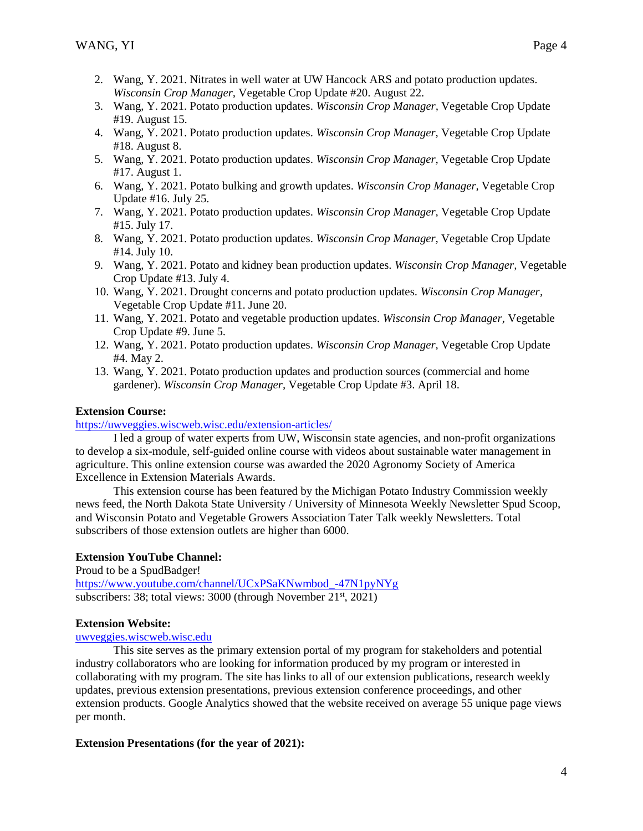- 2. Wang, Y. 2021. Nitrates in well water at UW Hancock ARS and potato production updates. *Wisconsin Crop Manager,* Vegetable Crop Update #20. August 22.
- 3. Wang, Y. 2021. Potato production updates. *Wisconsin Crop Manager,* Vegetable Crop Update #19. August 15.
- 4. Wang, Y. 2021. Potato production updates. *Wisconsin Crop Manager,* Vegetable Crop Update #18. August 8.
- 5. Wang, Y. 2021. Potato production updates. *Wisconsin Crop Manager,* Vegetable Crop Update #17. August 1.
- 6. Wang, Y. 2021. Potato bulking and growth updates. *Wisconsin Crop Manager,* Vegetable Crop Update #16. July 25.
- 7. Wang, Y. 2021. Potato production updates. *Wisconsin Crop Manager,* Vegetable Crop Update #15. July 17.
- 8. Wang, Y. 2021. Potato production updates. *Wisconsin Crop Manager,* Vegetable Crop Update #14. July 10.
- 9. Wang, Y. 2021. Potato and kidney bean production updates. *Wisconsin Crop Manager,* Vegetable Crop Update #13. July 4.
- 10. Wang, Y. 2021. Drought concerns and potato production updates. *Wisconsin Crop Manager,* Vegetable Crop Update #11. June 20.
- 11. Wang, Y. 2021. Potato and vegetable production updates. *Wisconsin Crop Manager,* Vegetable Crop Update #9. June 5.
- 12. Wang, Y. 2021. Potato production updates. *Wisconsin Crop Manager,* Vegetable Crop Update #4. May 2.
- 13. Wang, Y. 2021. Potato production updates and production sources (commercial and home gardener). *Wisconsin Crop Manager,* Vegetable Crop Update #3. April 18.

## **Extension Course:**

### <https://uwveggies.wiscweb.wisc.edu/extension-articles/>

I led a group of water experts from UW, Wisconsin state agencies, and non-profit organizations to develop a six-module, self-guided online course with videos about sustainable water management in agriculture. This online extension course was awarded the 2020 Agronomy Society of America Excellence in Extension Materials Awards.

This extension course has been featured by the Michigan Potato Industry Commission weekly news feed, the North Dakota State University / University of Minnesota Weekly Newsletter Spud Scoop, and Wisconsin Potato and Vegetable Growers Association Tater Talk weekly Newsletters. Total subscribers of those extension outlets are higher than 6000.

# **Extension YouTube Channel:**

Proud to be a SpudBadger! [https://www.youtube.com/channel/UCxPSaKNwmbod\\_-47N1pyNYg](https://www.youtube.com/channel/UCxPSaKNwmbod_-47N1pyNYg) subscribers: 38; total views: 3000 (through November 21<sup>st</sup>, 2021)

### **Extension Website:**

[uwveggies.wiscweb.wisc.edu](https://uwveggies.wiscweb.wisc.edu/)

This site serves as the primary extension portal of my program for stakeholders and potential industry collaborators who are looking for information produced by my program or interested in collaborating with my program. The site has links to all of our extension publications, research weekly updates, previous extension presentations, previous extension conference proceedings, and other extension products. Google Analytics showed that the website received on average 55 unique page views per month.

### **Extension Presentations (for the year of 2021):**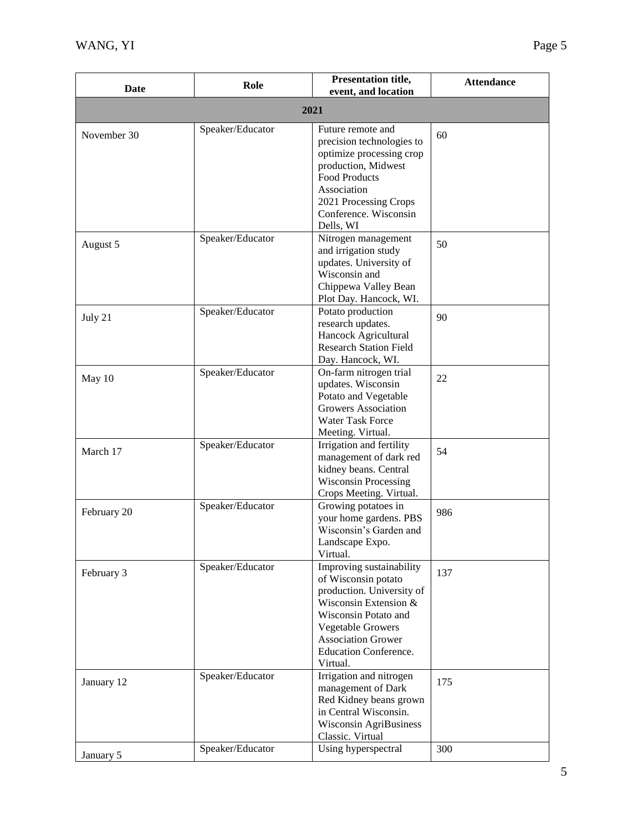| <b>Date</b> | Role             | Presentation title,<br>event, and location                                                                                                                                                                                         | <b>Attendance</b> |  |  |
|-------------|------------------|------------------------------------------------------------------------------------------------------------------------------------------------------------------------------------------------------------------------------------|-------------------|--|--|
| 2021        |                  |                                                                                                                                                                                                                                    |                   |  |  |
| November 30 | Speaker/Educator | Future remote and<br>precision technologies to<br>optimize processing crop<br>production, Midwest<br><b>Food Products</b><br>Association<br>2021 Processing Crops<br>Conference. Wisconsin<br>Dells, WI                            | 60                |  |  |
| August 5    | Speaker/Educator | Nitrogen management<br>and irrigation study<br>updates. University of<br>Wisconsin and<br>Chippewa Valley Bean<br>Plot Day. Hancock, WI.                                                                                           | 50                |  |  |
| July 21     | Speaker/Educator | Potato production<br>research updates.<br>Hancock Agricultural<br><b>Research Station Field</b><br>Day. Hancock, WI.                                                                                                               | 90                |  |  |
| May 10      | Speaker/Educator | On-farm nitrogen trial<br>updates. Wisconsin<br>Potato and Vegetable<br>Growers Association<br><b>Water Task Force</b><br>Meeting. Virtual.                                                                                        | 22                |  |  |
| March 17    | Speaker/Educator | Irrigation and fertility<br>management of dark red<br>kidney beans. Central<br>Wisconsin Processing<br>Crops Meeting. Virtual.                                                                                                     | 54                |  |  |
| February 20 | Speaker/Educator | Growing potatoes in<br>your home gardens. PBS<br>Wisconsin's Garden and<br>Landscape Expo.<br>Virtual.                                                                                                                             | 986               |  |  |
| February 3  | Speaker/Educator | Improving sustainability<br>of Wisconsin potato<br>production. University of<br>Wisconsin Extension &<br>Wisconsin Potato and<br><b>Vegetable Growers</b><br><b>Association Grower</b><br><b>Education Conference.</b><br>Virtual. | 137               |  |  |
| January 12  | Speaker/Educator | Irrigation and nitrogen<br>management of Dark<br>Red Kidney beans grown<br>in Central Wisconsin.<br>Wisconsin AgriBusiness<br>Classic. Virtual                                                                                     | 175               |  |  |
| January 5   | Speaker/Educator | Using hyperspectral                                                                                                                                                                                                                | 300               |  |  |